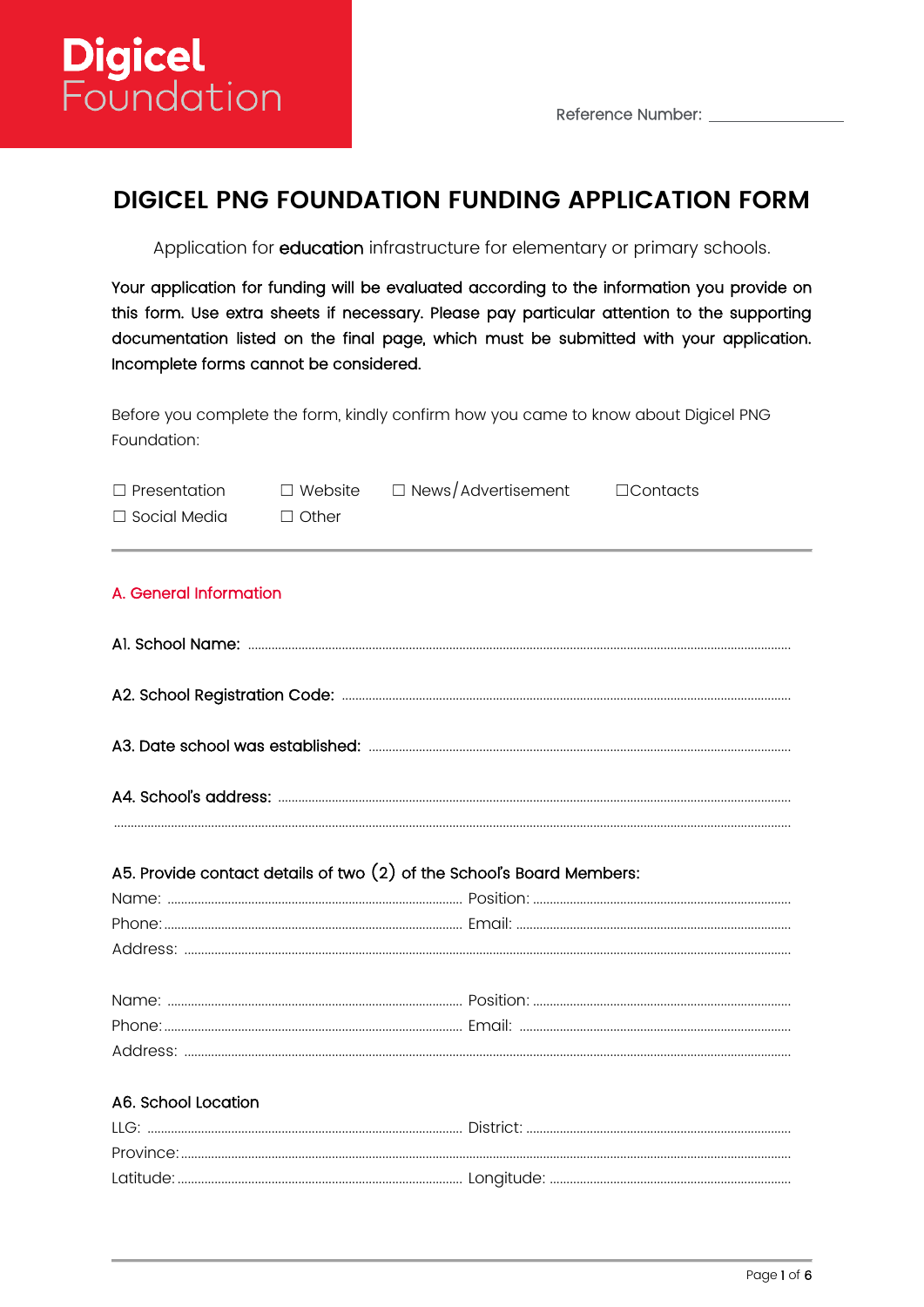

# **DIGICEL PNG FOUNDATION FUNDING APPLICATION FORM**

Application for education infrastructure for elementary or primary schools.

Your application for funding will be evaluated according to the information you provide on this form. Use extra sheets if necessary. Please pay particular attention to the supporting documentation listed on the final page, which must be submitted with your application. Incomplete forms cannot be considered.

Before you complete the form, kindly confirm how you came to know about Digicel PNG Foundation:

| $\Box$ Presentation    |              | $\Box$ Website $\Box$ News/Advertisement                                | $\Box$ Contacts |
|------------------------|--------------|-------------------------------------------------------------------------|-----------------|
| □ Social Media         | $\Box$ Other |                                                                         |                 |
| A. General Information |              |                                                                         |                 |
|                        |              |                                                                         |                 |
|                        |              |                                                                         |                 |
|                        |              |                                                                         |                 |
|                        |              |                                                                         |                 |
|                        |              | A5. Provide contact details of two $(2)$ of the School's Board Members: |                 |
|                        |              |                                                                         |                 |
|                        |              |                                                                         |                 |
|                        |              |                                                                         |                 |
|                        |              |                                                                         |                 |
|                        |              |                                                                         |                 |
|                        |              |                                                                         |                 |
| A6. School Location    |              |                                                                         |                 |
|                        |              |                                                                         |                 |
|                        |              |                                                                         |                 |
|                        |              |                                                                         |                 |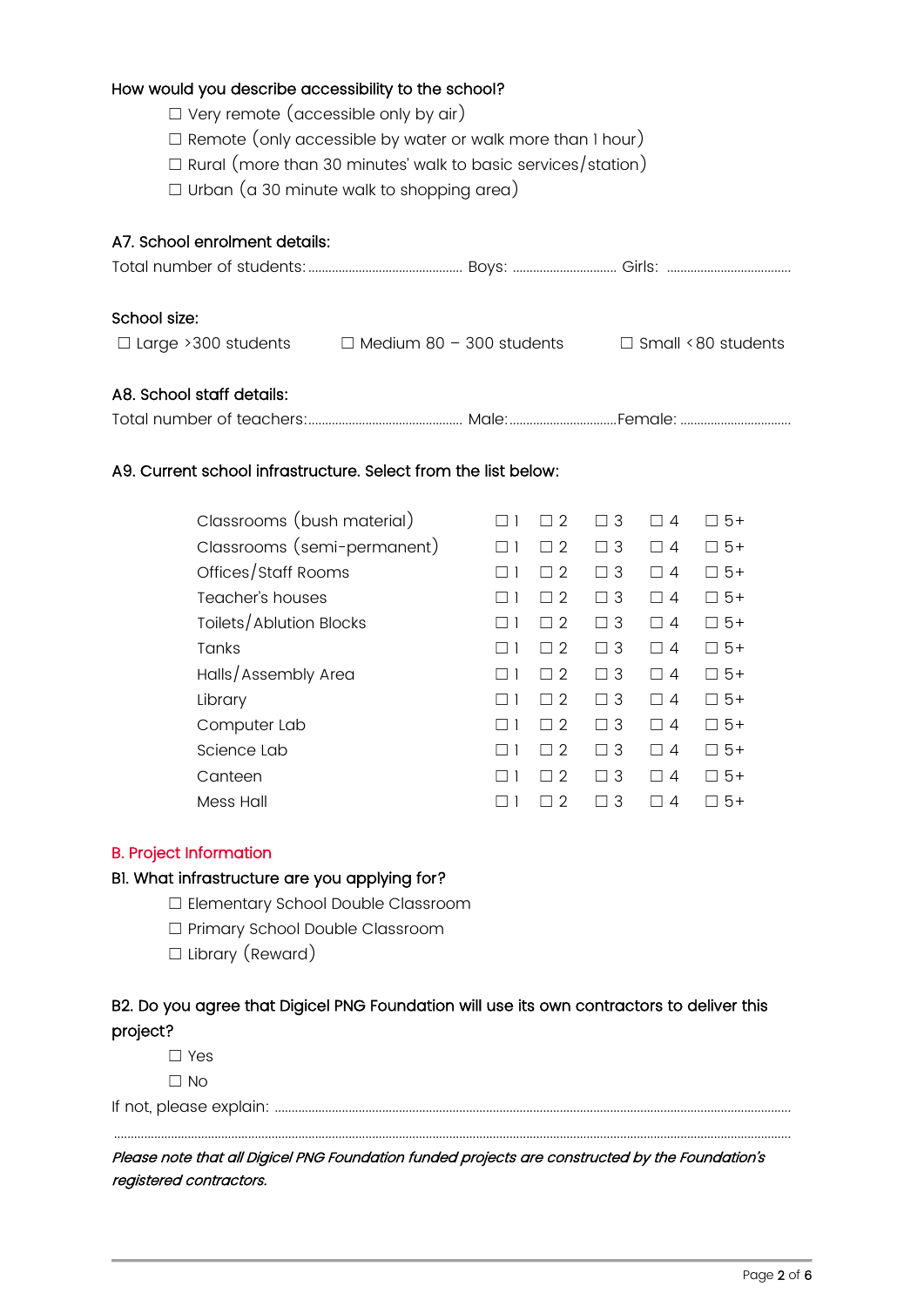#### How would you describe accessibility to the school?

- $\Box$  Very remote (accessible only by air)
- $\Box$  Remote (only accessible by water or walk more than 1 hour)
- ☐ Rural (more than 30 minutes' walk to basic services/station)
- $\Box$  Urban (a 30 minute walk to shopping area)

### A7. School enrolment details:

| School size:              |                                                                                      |  |
|---------------------------|--------------------------------------------------------------------------------------|--|
|                           | $\Box$ Large >300 students $\Box$ Medium 80 - 300 students $\Box$ Small <80 students |  |
|                           |                                                                                      |  |
| A8. School staff details: |                                                                                      |  |
|                           |                                                                                      |  |

### A9. Current school infrastructure. Select from the list below:

| Classrooms (bush material)  | 2                             | $\Box$ 3 | 4                        | $5+$                 |
|-----------------------------|-------------------------------|----------|--------------------------|----------------------|
| Classrooms (semi-permanent) | $\mathcal{D}$<br>$\Box$       | $\Box$ 3 | 4<br>$\mathsf{L}$        | $5+$                 |
| Offices/Staff Rooms         | 2                             | $\Box$ 3 | 4                        | $5+$                 |
| Teacher's houses            | 2                             | $\Box$ 3 | $\Delta$<br>$\Box$       | $5+$                 |
| Toilets/Ablution Blocks     | 2                             | $\Box$ 3 | $\overline{A}$<br>$\Box$ | $5+$<br>$\mathbf{1}$ |
| <b>Tanks</b>                | 2<br>$\mathbf{I}$             | $\Box$ 3 | $\overline{A}$<br>$\Box$ | $5+$                 |
| Halls/Assembly Area         | 2                             | $\Box$ 3 | 4<br>$\mathsf{L}$        | $5+$                 |
| Library                     | $\mathcal{D}$<br>$\mathbf{I}$ | $\Box$ 3 | 4<br>$\mathsf{L}$        | $5+$                 |
| Computer Lab                | $\mathcal{D}$<br>$\Box$       | $\Box$ 3 | 4<br>$\Box$              | $5+$                 |
| Science Lab                 | 2                             | $\Box$ 3 | 4<br>$\mathsf{L}$        | $5+$                 |
| Canteen                     | 2                             | $\Box$ 3 | 4                        | $5+$                 |
| Mess Hall                   | 2                             | 3        | 4                        | $5+$                 |

#### B. Project Information

#### B1. What infrastructure are you applying for?

- ☐ Elementary School Double Classroom
- ☐ Primary School Double Classroom
- □ Library (Reward)

### B2. Do you agree that Digicel PNG Foundation will use its own contractors to deliver this project?

☐ Yes  $\Box$  No

If not, please explain: ..........................................................................................................................................................

Please note that all Digicel PNG Foundation funded projects are constructed by the Foundation's registered contractors.

..........................................................................................................................................................................................................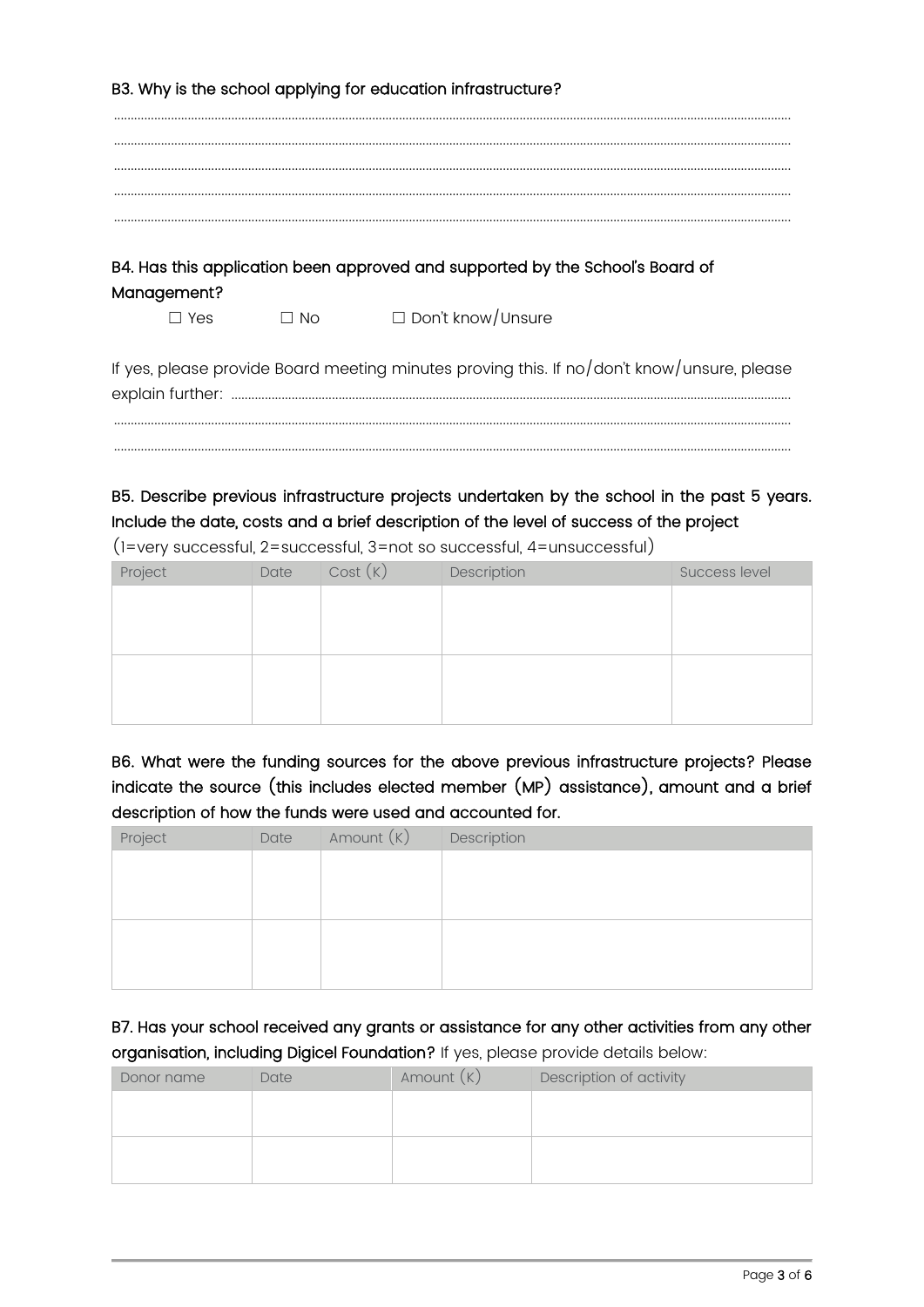|             |           | B3. Why is the school applying for education infrastructure?                               |
|-------------|-----------|--------------------------------------------------------------------------------------------|
|             |           |                                                                                            |
|             |           |                                                                                            |
|             |           |                                                                                            |
|             |           |                                                                                            |
|             |           |                                                                                            |
|             |           | B4. Has this application been approved and supported by the School's Board of              |
| Management? |           |                                                                                            |
| $\Box$ Yes  | $\Box$ No | $\Box$ Don't know/Unsure                                                                   |
|             |           | If yes, please provide Board meeting minutes proving this. If no/don't know/unsure, please |
|             |           |                                                                                            |
|             |           |                                                                                            |
|             |           |                                                                                            |

# B5. Describe previous infrastructure projects undertaken by the school in the past 5 years. Include the date, costs and a brief description of the level of success of the project

(1=very successful, 2=successful, 3=not so successful, 4=unsuccessful)

| Project | Date | Cost(K) | Description | Success level |
|---------|------|---------|-------------|---------------|
|         |      |         |             |               |
|         |      |         |             |               |
|         |      |         |             |               |
|         |      |         |             |               |
|         |      |         |             |               |
|         |      |         |             |               |

B6. What were the funding sources for the above previous infrastructure projects? Please indicate the source (this includes elected member (MP) assistance), amount and a brief description of how the funds were used and accounted for.

| Project | Date | Amount (K) | Description |
|---------|------|------------|-------------|
|         |      |            |             |
|         |      |            |             |
|         |      |            |             |
|         |      |            |             |
|         |      |            |             |
|         |      |            |             |

B7. Has your school received any grants or assistance for any other activities from any other organisation, including Digicel Foundation? If yes, please provide details below:

| Donor name | Date | Amount $(K)$ | Description of activity |
|------------|------|--------------|-------------------------|
|            |      |              |                         |
|            |      |              |                         |
|            |      |              |                         |
|            |      |              |                         |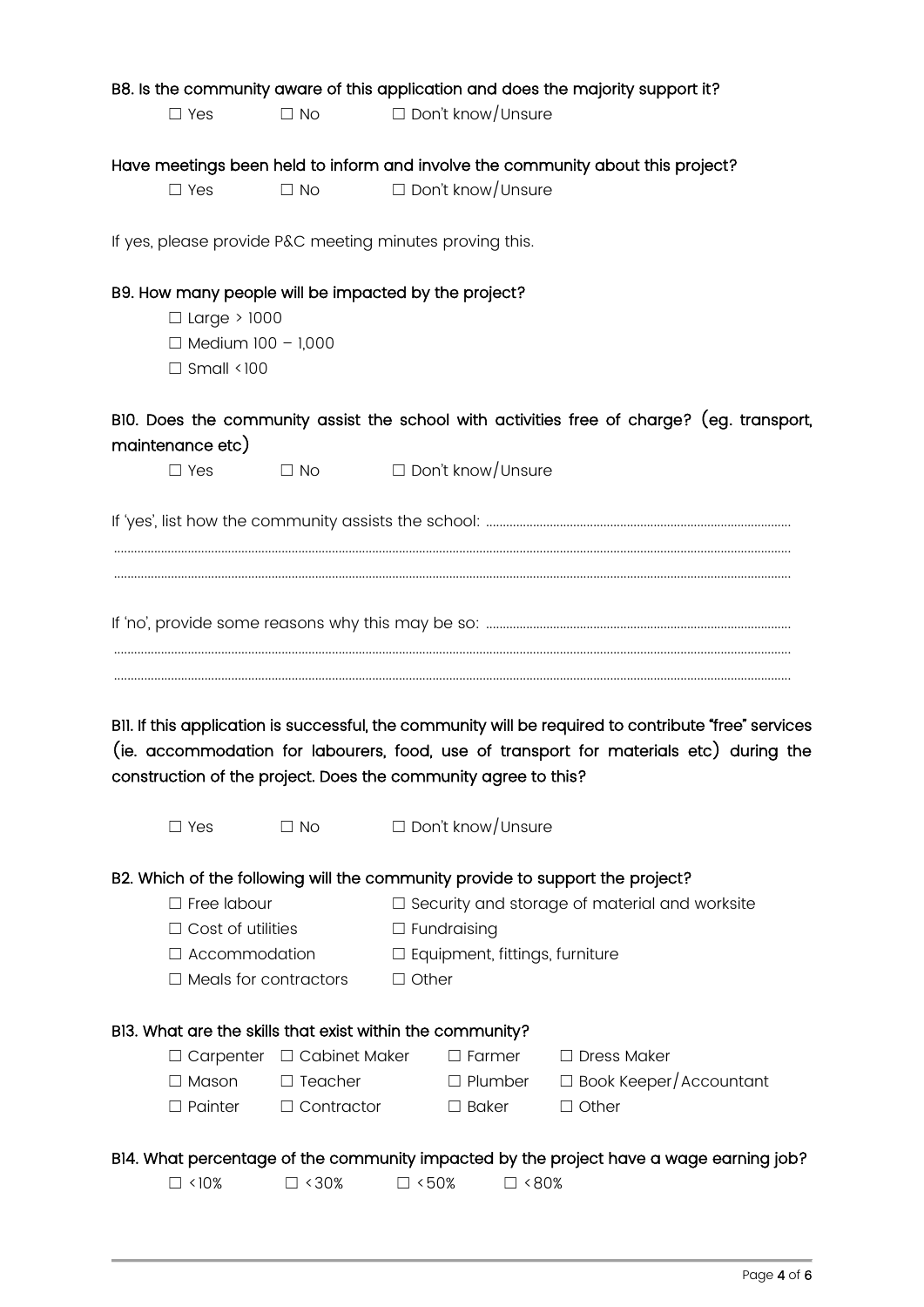|                  |                                                      |                                                                |                    |                                       | B8. Is the community aware of this application and does the majority support it?                                                                                                               |
|------------------|------------------------------------------------------|----------------------------------------------------------------|--------------------|---------------------------------------|------------------------------------------------------------------------------------------------------------------------------------------------------------------------------------------------|
|                  | $\square$ Yes                                        | $\Box$ No                                                      |                    | $\Box$ Don't know/Unsure              |                                                                                                                                                                                                |
|                  |                                                      |                                                                |                    |                                       |                                                                                                                                                                                                |
|                  |                                                      |                                                                |                    |                                       | Have meetings been held to inform and involve the community about this project?                                                                                                                |
|                  | $\Box$ Yes                                           | $\Box$ No                                                      |                    | $\Box$ Don't know/Unsure              |                                                                                                                                                                                                |
|                  |                                                      | If yes, please provide P&C meeting minutes proving this.       |                    |                                       |                                                                                                                                                                                                |
|                  |                                                      | B9. How many people will be impacted by the project?           |                    |                                       |                                                                                                                                                                                                |
|                  | $\Box$ Large > 1000                                  |                                                                |                    |                                       |                                                                                                                                                                                                |
|                  | $\Box$ Medium 100 - 1,000                            |                                                                |                    |                                       |                                                                                                                                                                                                |
|                  | $\Box$ Small <100                                    |                                                                |                    |                                       |                                                                                                                                                                                                |
| maintenance etc) |                                                      |                                                                |                    |                                       | BIO. Does the community assist the school with activities free of charge? (eg. transport,                                                                                                      |
|                  | $\square$ Yes                                        | $\Box$ No                                                      |                    | $\Box$ Don't know/Unsure              |                                                                                                                                                                                                |
|                  |                                                      |                                                                |                    |                                       |                                                                                                                                                                                                |
|                  |                                                      |                                                                |                    |                                       |                                                                                                                                                                                                |
|                  |                                                      | construction of the project. Does the community agree to this? |                    |                                       | BII. If this application is successful, the community will be required to contribute "free" services<br>(ie. accommodation for labourers, food, use of transport for materials etc) during the |
|                  | $\Box$ Yes                                           |                                                                |                    |                                       |                                                                                                                                                                                                |
|                  |                                                      | $\Box$ No                                                      |                    | $\Box$ Don't know/Unsure              |                                                                                                                                                                                                |
|                  |                                                      |                                                                |                    |                                       |                                                                                                                                                                                                |
|                  | $\Box$ Free labour                                   |                                                                |                    |                                       | B2. Which of the following will the community provide to support the project?                                                                                                                  |
|                  |                                                      |                                                                |                    |                                       | $\Box$ Security and storage of material and worksite                                                                                                                                           |
|                  | $\Box$ Cost of utilities                             |                                                                | $\Box$ Fundraising |                                       |                                                                                                                                                                                                |
|                  | $\Box$ Accommodation<br>$\Box$ Meals for contractors |                                                                | $\Box$ Other       | $\Box$ Equipment, fittings, furniture |                                                                                                                                                                                                |
|                  |                                                      |                                                                |                    |                                       |                                                                                                                                                                                                |
|                  |                                                      | BI3. What are the skills that exist within the community?      |                    |                                       |                                                                                                                                                                                                |
|                  | $\Box$ Carpenter                                     | □ Cabinet Maker                                                |                    | $\Box$ Farmer                         | $\Box$ Dress Maker                                                                                                                                                                             |
|                  | $\Box$ Mason                                         | $\Box$ Teacher                                                 |                    | $\Box$ Plumber                        | $\Box$ Book Keeper/Accountant                                                                                                                                                                  |
|                  | $\Box$ Painter                                       | $\Box$ Contractor                                              |                    | $\Box$ Baker                          | $\Box$ Other                                                                                                                                                                                   |
|                  |                                                      |                                                                |                    |                                       | BI4. What percentage of the community impacted by the project have a wage earning job?                                                                                                         |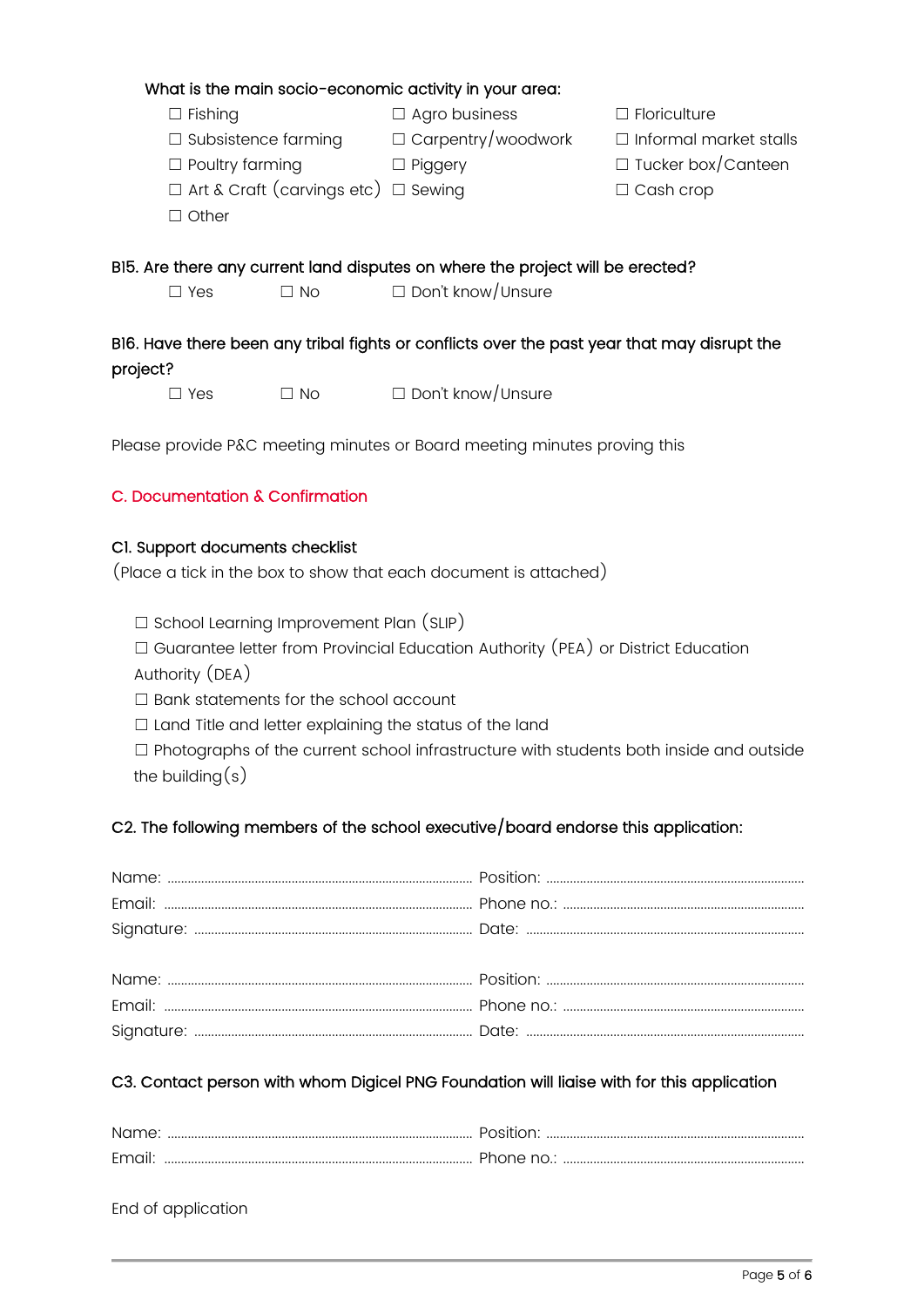|          |                            |                                                 | What is the main socio-economic activity in your area:                                                     |                               |
|----------|----------------------------|-------------------------------------------------|------------------------------------------------------------------------------------------------------------|-------------------------------|
|          | $\Box$ Fishing             |                                                 | $\Box$ Agro business                                                                                       | $\Box$ Floriculture           |
|          | $\Box$ Subsistence farming |                                                 | $\Box$ Carpentry/woodwork                                                                                  | $\Box$ Informal market stalls |
|          | $\Box$ Poultry farming     |                                                 | $\Box$ Piggery                                                                                             | $\Box$ Tucker box/Canteen     |
|          |                            | $\Box$ Art & Craft (carvings etc) $\Box$ Sewing |                                                                                                            | $\Box$ Cash crop              |
|          | $\Box$ Other               |                                                 |                                                                                                            |                               |
|          | $\Box$ Yes                 | $\Box$ No $\Box$                                | BI5. Are there any current land disputes on where the project will be erected?<br>$\Box$ Don't know/Unsure |                               |
| project? |                            |                                                 | BI6. Have there been any tribal fights or conflicts over the past year that may disrupt the                |                               |
|          | Yes                        | $\Box$ No                                       | $\Box$ Don't know/Unsure                                                                                   |                               |

Please provide P&C meeting minutes or Board meeting minutes proving this

### C. Documentation & Confirmation

### C1. Support documents checklist

(Place a tick in the box to show that each document is attached)

☐ School Learning Improvement Plan (SLIP)

☐ Guarantee letter from Provincial Education Authority (PEA) or District Education Authority (DEA)

- ☐ Bank statements for the school account
- ☐ Land Title and letter explaining the status of the land
- ☐ Photographs of the current school infrastructure with students both inside and outside the building $(s)$

### C2. The following members of the school executive/board endorse this application:

### C3. Contact person with whom Digicel PNG Foundation will liaise with for this application

| Name: | Position <sup>.</sup> |
|-------|-----------------------|
| Email | Phone no.:            |

End of application